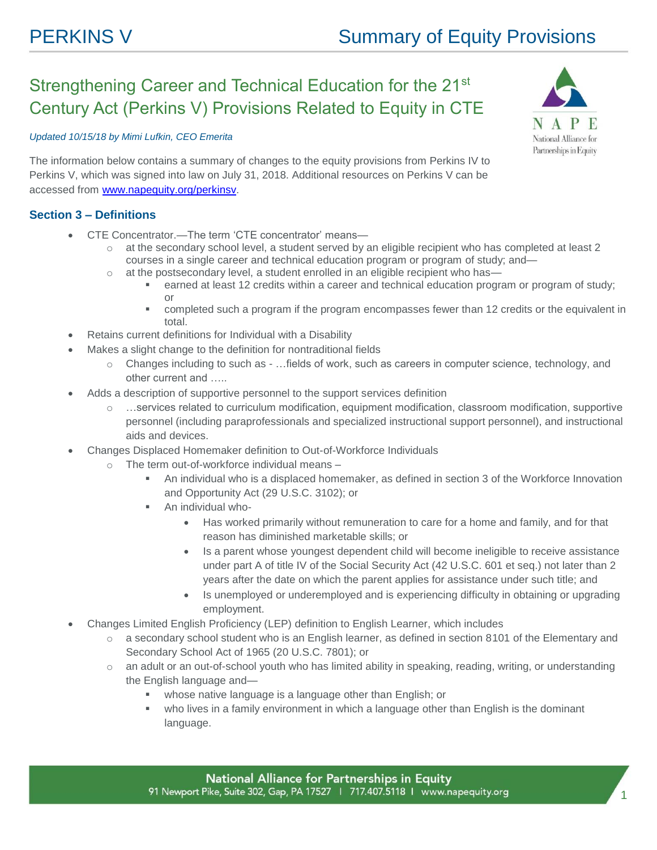# Strengthening Career and Technical Education for the 21st Century Act (Perkins V) Provisions Related to Equity in CTE

### *Updated 10/15/18 by Mimi Lufkin, CEO Emerita*



The information below contains a summary of changes to the equity provisions from Perkins IV to Perkins V, which was signed into law on July 31, 2018. Additional resources on Perkins V can be accessed from [www.napequity.org/perkinsv.](http://www.napequity.org/perkinsv)

# **Section 3 – Definitions**

- CTE Concentrator.—The term 'CTE concentrator' means
	- o at the secondary school level, a student served by an eligible recipient who has completed at least 2 courses in a single career and technical education program or program of study; and—
	- $\circ$  at the postsecondary level, a student enrolled in an eligible recipient who has
		- earned at least 12 credits within a career and technical education program or program of study; or
		- completed such a program if the program encompasses fewer than 12 credits or the equivalent in total.
- Retains current definitions for Individual with a Disability
- Makes a slight change to the definition for nontraditional fields
	- o Changes including to such as …fields of work, such as careers in computer science, technology, and other current and …..
- Adds a description of supportive personnel to the support services definition
	- o ...services related to curriculum modification, equipment modification, classroom modification, supportive personnel (including paraprofessionals and specialized instructional support personnel), and instructional aids and devices.
- Changes Displaced Homemaker definition to Out-of-Workforce Individuals
	- o The term out-of-workforce individual means
		- An individual who is a displaced homemaker, as defined in section 3 of the Workforce Innovation and Opportunity Act (29 U.S.C. 3102); or
		- An individual who-
			- Has worked primarily without remuneration to care for a home and family, and for that reason has diminished marketable skills; or
			- Is a parent whose youngest dependent child will become ineligible to receive assistance under part A of title IV of the Social Security Act (42 U.S.C. 601 et seq.) not later than 2 years after the date on which the parent applies for assistance under such title; and
			- Is unemployed or underemployed and is experiencing difficulty in obtaining or upgrading employment.
- Changes Limited English Proficiency (LEP) definition to English Learner, which includes
	- o a secondary school student who is an English learner, as defined in section 8101 of the Elementary and Secondary School Act of 1965 (20 U.S.C. 7801); or
	- o an adult or an out-of-school youth who has limited ability in speaking, reading, writing, or understanding the English language and
		- whose native language is a language other than English; or
		- who lives in a family environment in which a language other than English is the dominant language.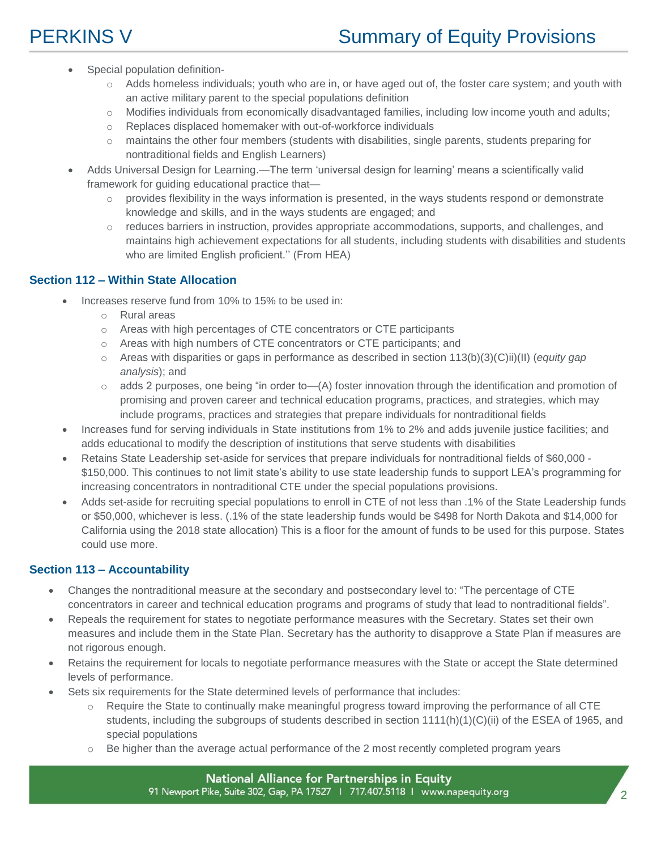- Special population definition-
	- $\circ$  Adds homeless individuals; youth who are in, or have aged out of, the foster care system; and youth with an active military parent to the special populations definition
	- o Modifies individuals from economically disadvantaged families, including low income youth and adults;
	- o Replaces displaced homemaker with out-of-workforce individuals
	- o maintains the other four members (students with disabilities, single parents, students preparing for nontraditional fields and English Learners)
- Adds Universal Design for Learning.—The term 'universal design for learning' means a scientifically valid framework for guiding educational practice that—
	- $\circ$  provides flexibility in the ways information is presented, in the ways students respond or demonstrate knowledge and skills, and in the ways students are engaged; and
	- $\circ$  reduces barriers in instruction, provides appropriate accommodations, supports, and challenges, and maintains high achievement expectations for all students, including students with disabilities and students who are limited English proficient.'' (From HEA)

# **Section 112 – Within State Allocation**

- Increases reserve fund from 10% to 15% to be used in:
	- o Rural areas
	- o Areas with high percentages of CTE concentrators or CTE participants
	- o Areas with high numbers of CTE concentrators or CTE participants; and
	- o Areas with disparities or gaps in performance as described in section 113(b)(3)(C)ii)(II) (*equity gap analysis*); and
	- $\circ$  adds 2 purposes, one being "in order to—(A) foster innovation through the identification and promotion of promising and proven career and technical education programs, practices, and strategies, which may include programs, practices and strategies that prepare individuals for nontraditional fields
- Increases fund for serving individuals in State institutions from 1% to 2% and adds juvenile justice facilities; and adds educational to modify the description of institutions that serve students with disabilities
- Retains State Leadership set-aside for services that prepare individuals for nontraditional fields of \$60,000 \$150,000. This continues to not limit state's ability to use state leadership funds to support LEA's programming for increasing concentrators in nontraditional CTE under the special populations provisions.
- Adds set-aside for recruiting special populations to enroll in CTE of not less than .1% of the State Leadership funds or \$50,000, whichever is less. (.1% of the state leadership funds would be \$498 for North Dakota and \$14,000 for California using the 2018 state allocation) This is a floor for the amount of funds to be used for this purpose. States could use more.

# **Section 113 – Accountability**

- Changes the nontraditional measure at the secondary and postsecondary level to: "The percentage of CTE concentrators in career and technical education programs and programs of study that lead to nontraditional fields".
- Repeals the requirement for states to negotiate performance measures with the Secretary. States set their own measures and include them in the State Plan. Secretary has the authority to disapprove a State Plan if measures are not rigorous enough.
- Retains the requirement for locals to negotiate performance measures with the State or accept the State determined levels of performance.
- Sets six requirements for the State determined levels of performance that includes:
	- o Require the State to continually make meaningful progress toward improving the performance of all CTE students, including the subgroups of students described in section 1111(h)(1)(C)(ii) of the ESEA of 1965, and special populations
	- $\circ$  Be higher than the average actual performance of the 2 most recently completed program years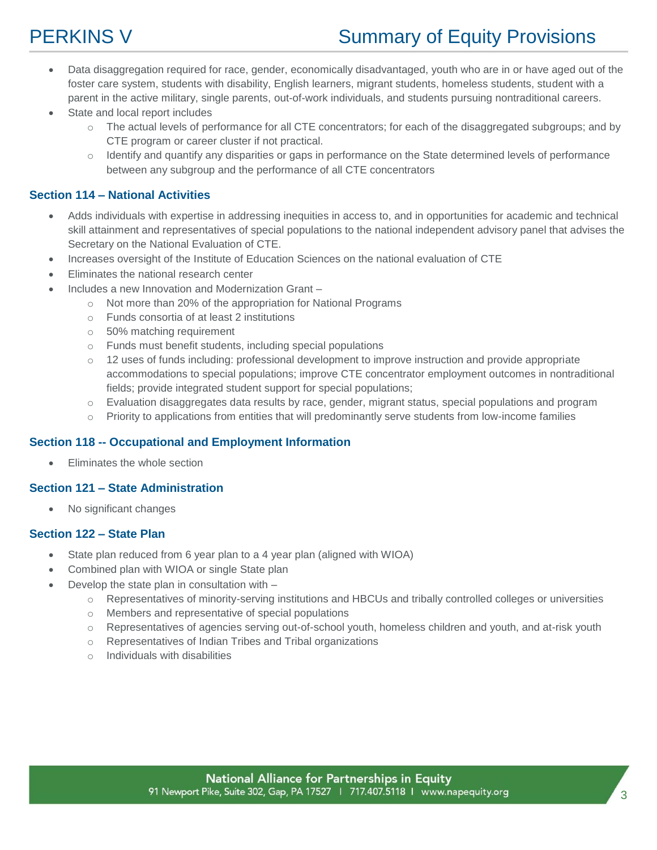# **PERKINS V** Summary of Equity Provisions

- Data disaggregation required for race, gender, economically disadvantaged, youth who are in or have aged out of the foster care system, students with disability, English learners, migrant students, homeless students, student with a parent in the active military, single parents, out-of-work individuals, and students pursuing nontraditional careers.
- State and local report includes
	- o The actual levels of performance for all CTE concentrators; for each of the disaggregated subgroups; and by CTE program or career cluster if not practical.
	- o Identify and quantify any disparities or gaps in performance on the State determined levels of performance between any subgroup and the performance of all CTE concentrators

# **Section 114 – National Activities**

- Adds individuals with expertise in addressing inequities in access to, and in opportunities for academic and technical skill attainment and representatives of special populations to the national independent advisory panel that advises the Secretary on the National Evaluation of CTE.
- Increases oversight of the Institute of Education Sciences on the national evaluation of CTE
- Eliminates the national research center
- Includes a new Innovation and Modernization Grant
	- o Not more than 20% of the appropriation for National Programs
	- o Funds consortia of at least 2 institutions
	- o 50% matching requirement
	- o Funds must benefit students, including special populations
	- o 12 uses of funds including: professional development to improve instruction and provide appropriate accommodations to special populations; improve CTE concentrator employment outcomes in nontraditional fields; provide integrated student support for special populations;
	- o Evaluation disaggregates data results by race, gender, migrant status, special populations and program
	- $\circ$  Priority to applications from entities that will predominantly serve students from low-income families

#### **Section 118 -- Occupational and Employment Information**

Eliminates the whole section

# **Section 121 – State Administration**

• No significant changes

### **Section 122 – State Plan**

- State plan reduced from 6 year plan to a 4 year plan (aligned with WIOA)
- Combined plan with WIOA or single State plan
- Develop the state plan in consultation with
	- o Representatives of minority-serving institutions and HBCUs and tribally controlled colleges or universities
	- o Members and representative of special populations
	- o Representatives of agencies serving out-of-school youth, homeless children and youth, and at-risk youth
	- o Representatives of Indian Tribes and Tribal organizations
	- $\circ$  Individuals with disabilities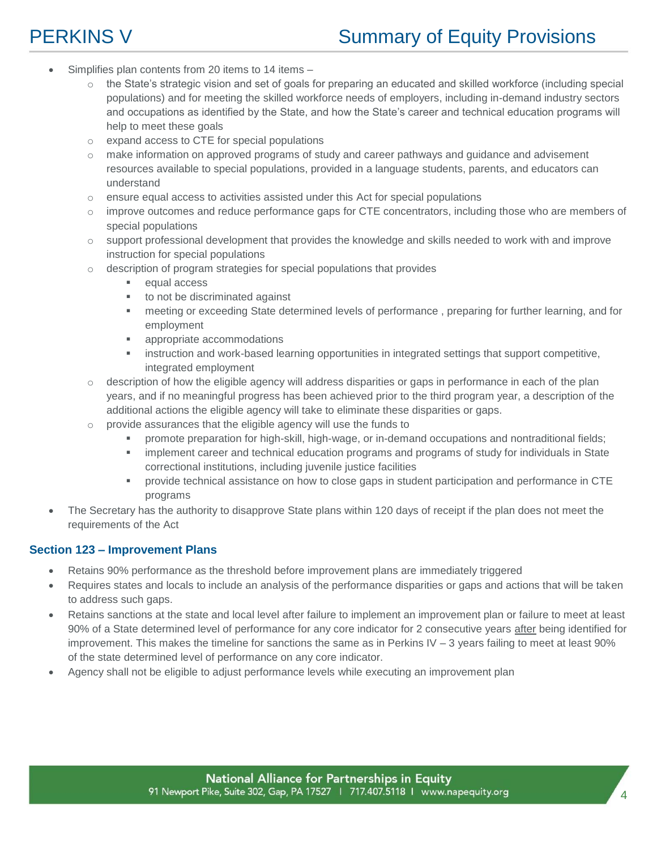# **PERKINS V** Summary of Equity Provisions

- Simplifies plan contents from 20 items to 14 items -
	- $\circ$  the State's strategic vision and set of goals for preparing an educated and skilled workforce (including special populations) and for meeting the skilled workforce needs of employers, including in-demand industry sectors and occupations as identified by the State, and how the State's career and technical education programs will help to meet these goals
	- o expand access to CTE for special populations
	- $\circ$  make information on approved programs of study and career pathways and guidance and advisement resources available to special populations, provided in a language students, parents, and educators can understand
	- $\circ$  ensure equal access to activities assisted under this Act for special populations
	- $\circ$  improve outcomes and reduce performance gaps for CTE concentrators, including those who are members of special populations
	- $\circ$  support professional development that provides the knowledge and skills needed to work with and improve instruction for special populations
	- $\circ$  description of program strategies for special populations that provides
		- **equal access**
		- to not be discriminated against
		- meeting or exceeding State determined levels of performance , preparing for further learning, and for employment
		- appropriate accommodations
		- **EXEDENT IN** instruction and work-based learning opportunities in integrated settings that support competitive, integrated employment
	- $\circ$  description of how the eligible agency will address disparities or gaps in performance in each of the plan years, and if no meaningful progress has been achieved prior to the third program year, a description of the additional actions the eligible agency will take to eliminate these disparities or gaps.
	- provide assurances that the eligible agency will use the funds to
		- promote preparation for high-skill, high-wage, or in-demand occupations and nontraditional fields;
		- **EXECT** implement career and technical education programs and programs of study for individuals in State correctional institutions, including juvenile justice facilities
		- provide technical assistance on how to close gaps in student participation and performance in CTE programs
- The Secretary has the authority to disapprove State plans within 120 days of receipt if the plan does not meet the requirements of the Act

#### **Section 123 – Improvement Plans**

- Retains 90% performance as the threshold before improvement plans are immediately triggered
- Requires states and locals to include an analysis of the performance disparities or gaps and actions that will be taken to address such gaps.
- Retains sanctions at the state and local level after failure to implement an improvement plan or failure to meet at least 90% of a State determined level of performance for any core indicator for 2 consecutive years after being identified for improvement. This makes the timeline for sanctions the same as in Perkins IV  $-$  3 years failing to meet at least 90% of the state determined level of performance on any core indicator.
- Agency shall not be eligible to adjust performance levels while executing an improvement plan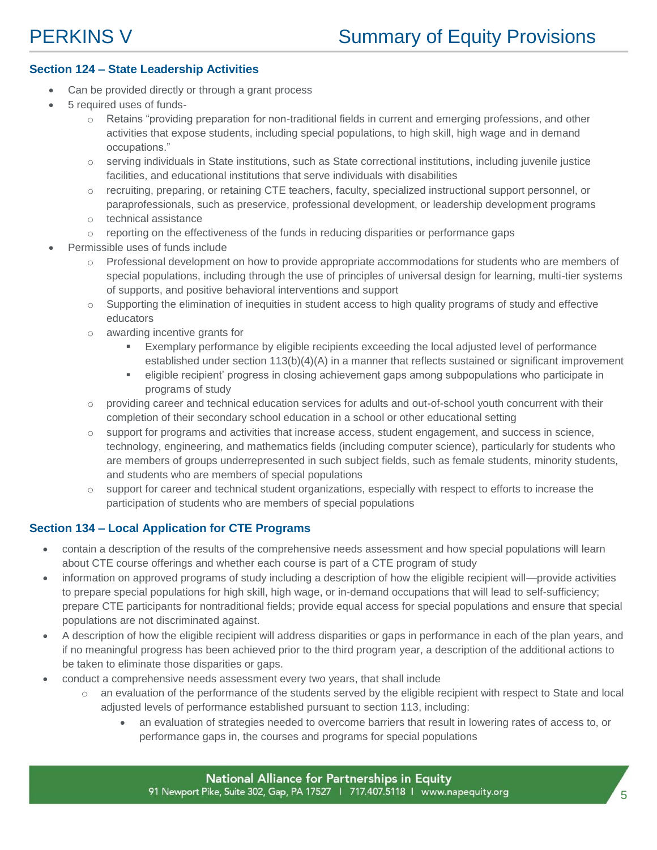# **Section 124 – State Leadership Activities**

- Can be provided directly or through a grant process
- 5 required uses of funds
	- o Retains "providing preparation for non-traditional fields in current and emerging professions, and other activities that expose students, including special populations, to high skill, high wage and in demand occupations."
	- $\circ$  serving individuals in State institutions, such as State correctional institutions, including juvenile justice facilities, and educational institutions that serve individuals with disabilities
	- o recruiting, preparing, or retaining CTE teachers, faculty, specialized instructional support personnel, or paraprofessionals, such as preservice, professional development, or leadership development programs
	- o technical assistance
	- $\circ$  reporting on the effectiveness of the funds in reducing disparities or performance gaps
- Permissible uses of funds include
	- $\circ$  Professional development on how to provide appropriate accommodations for students who are members of special populations, including through the use of principles of universal design for learning, multi-tier systems of supports, and positive behavioral interventions and support
	- $\circ$  Supporting the elimination of inequities in student access to high quality programs of study and effective educators
	- o awarding incentive grants for
		- Exemplary performance by eligible recipients exceeding the local adjusted level of performance established under section 113(b)(4)(A) in a manner that reflects sustained or significant improvement
		- eligible recipient' progress in closing achievement gaps among subpopulations who participate in programs of study
	- $\circ$  providing career and technical education services for adults and out-of-school youth concurrent with their completion of their secondary school education in a school or other educational setting
	- o support for programs and activities that increase access, student engagement, and success in science, technology, engineering, and mathematics fields (including computer science), particularly for students who are members of groups underrepresented in such subject fields, such as female students, minority students, and students who are members of special populations
	- o support for career and technical student organizations, especially with respect to efforts to increase the participation of students who are members of special populations

# **Section 134 – Local Application for CTE Programs**

- contain a description of the results of the comprehensive needs assessment and how special populations will learn about CTE course offerings and whether each course is part of a CTE program of study
- information on approved programs of study including a description of how the eligible recipient will—provide activities to prepare special populations for high skill, high wage, or in-demand occupations that will lead to self-sufficiency; prepare CTE participants for nontraditional fields; provide equal access for special populations and ensure that special populations are not discriminated against.
- A description of how the eligible recipient will address disparities or gaps in performance in each of the plan years, and if no meaningful progress has been achieved prior to the third program year, a description of the additional actions to be taken to eliminate those disparities or gaps.
- conduct a comprehensive needs assessment every two years, that shall include
	- o an evaluation of the performance of the students served by the eligible recipient with respect to State and local adjusted levels of performance established pursuant to section 113, including:
		- an evaluation of strategies needed to overcome barriers that result in lowering rates of access to, or performance gaps in, the courses and programs for special populations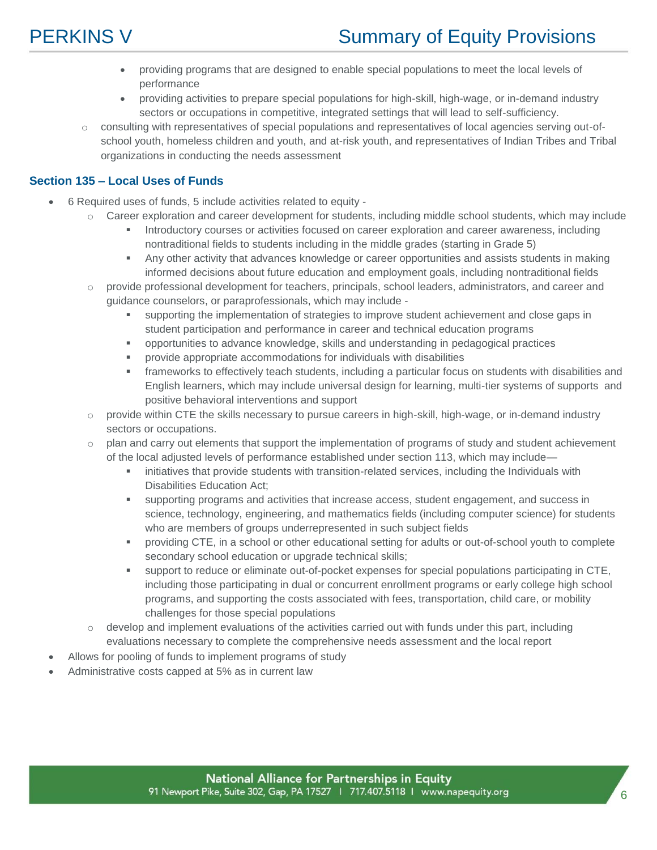

# **PERKINS V** Summary of Equity Provisions

- providing programs that are designed to enable special populations to meet the local levels of performance
- providing activities to prepare special populations for high-skill, high-wage, or in-demand industry sectors or occupations in competitive, integrated settings that will lead to self-sufficiency.
- o consulting with representatives of special populations and representatives of local agencies serving out-ofschool youth, homeless children and youth, and at-risk youth, and representatives of Indian Tribes and Tribal organizations in conducting the needs assessment

### **Section 135 – Local Uses of Funds**

- 6 Required uses of funds, 5 include activities related to equity
	- $\circ$  Career exploration and career development for students, including middle school students, which may include
		- **Introductory courses or activities focused on career exploration and career awareness, including** nontraditional fields to students including in the middle grades (starting in Grade 5)
		- Any other activity that advances knowledge or career opportunities and assists students in making informed decisions about future education and employment goals, including nontraditional fields
	- o provide professional development for teachers, principals, school leaders, administrators, and career and guidance counselors, or paraprofessionals, which may include
		- supporting the implementation of strategies to improve student achievement and close gaps in student participation and performance in career and technical education programs
		- opportunities to advance knowledge, skills and understanding in pedagogical practices
		- provide appropriate accommodations for individuals with disabilities
		- frameworks to effectively teach students, including a particular focus on students with disabilities and English learners, which may include universal design for learning, multi-tier systems of supports and positive behavioral interventions and support
	- $\circ$  provide within CTE the skills necessary to pursue careers in high-skill, high-wage, or in-demand industry sectors or occupations.
	- o plan and carry out elements that support the implementation of programs of study and student achievement of the local adjusted levels of performance established under section 113, which may include—
		- **EXECT** initiatives that provide students with transition-related services, including the Individuals with Disabilities Education Act;
		- supporting programs and activities that increase access, student engagement, and success in science, technology, engineering, and mathematics fields (including computer science) for students who are members of groups underrepresented in such subject fields
		- providing CTE, in a school or other educational setting for adults or out-of-school youth to complete secondary school education or upgrade technical skills;
		- support to reduce or eliminate out-of-pocket expenses for special populations participating in CTE, including those participating in dual or concurrent enrollment programs or early college high school programs, and supporting the costs associated with fees, transportation, child care, or mobility challenges for those special populations
	- $\circ$  develop and implement evaluations of the activities carried out with funds under this part, including evaluations necessary to complete the comprehensive needs assessment and the local report
- Allows for pooling of funds to implement programs of study
- Administrative costs capped at 5% as in current law